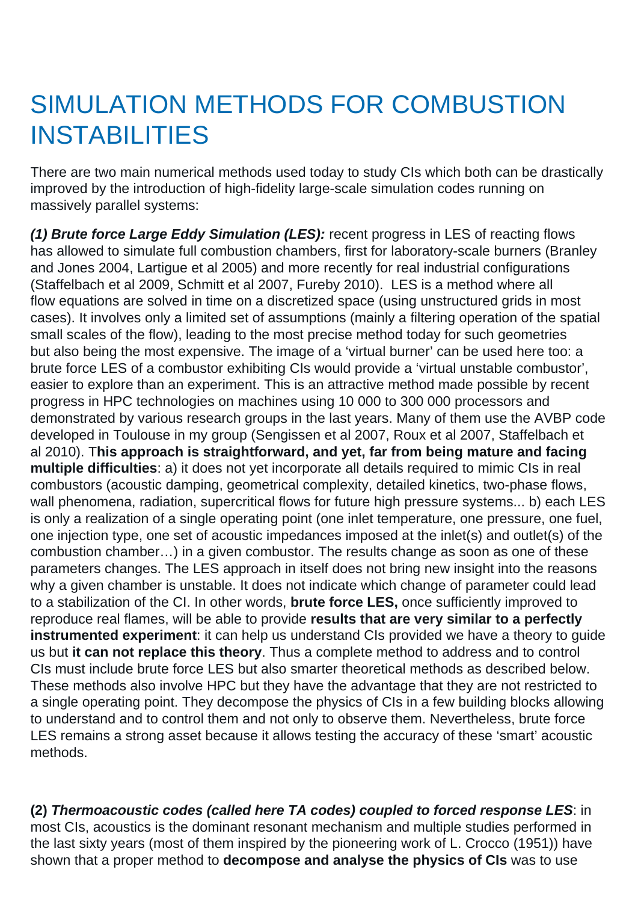## SIMULATION METHODS FOR COMBUSTION INSTABILITIES

There are two main numerical methods used today to study CIs which both can be drastically improved by the introduction of high-fidelity large-scale simulation codes running on massively parallel systems:

**(1) Brute force Large Eddy Simulation (LES):** recent progress in LES of reacting flows has allowed to simulate full combustion chambers, first for laboratory-scale burners (Branley and Jones 2004, Lartigue et al 2005) and more recently for real industrial configurations (Staffelbach et al 2009, Schmitt et al 2007, Fureby 2010). LES is a method where all flow equations are solved in time on a discretized space (using unstructured grids in most cases). It involves only a limited set of assumptions (mainly a filtering operation of the spatial small scales of the flow), leading to the most precise method today for such geometries but also being the most expensive. The image of a 'virtual burner' can be used here too: a brute force LES of a combustor exhibiting CIs would provide a 'virtual unstable combustor', easier to explore than an experiment. This is an attractive method made possible by recent progress in HPC technologies on machines using 10 000 to 300 000 processors and demonstrated by various research groups in the last years. Many of them use the AVBP code developed in Toulouse in my group (Sengissen et al 2007, Roux et al 2007, Staffelbach et al 2010). T**his approach is straightforward, and yet, far from being mature and facing multiple difficulties**: a) it does not yet incorporate all details required to mimic CIs in real combustors (acoustic damping, geometrical complexity, detailed kinetics, two-phase flows, wall phenomena, radiation, supercritical flows for future high pressure systems... b) each LES is only a realization of a single operating point (one inlet temperature, one pressure, one fuel, one injection type, one set of acoustic impedances imposed at the inlet(s) and outlet(s) of the combustion chamber…) in a given combustor. The results change as soon as one of these parameters changes. The LES approach in itself does not bring new insight into the reasons why a given chamber is unstable. It does not indicate which change of parameter could lead to a stabilization of the CI. In other words, **brute force LES,** once sufficiently improved to reproduce real flames, will be able to provide **results that are very similar to a perfectly instrumented experiment**: it can help us understand CIs provided we have a theory to guide us but **it can not replace this theory**. Thus a complete method to address and to control CIs must include brute force LES but also smarter theoretical methods as described below. These methods also involve HPC but they have the advantage that they are not restricted to a single operating point. They decompose the physics of CIs in a few building blocks allowing to understand and to control them and not only to observe them. Nevertheless, brute force LES remains a strong asset because it allows testing the accuracy of these 'smart' acoustic methods.

**(2) Thermoacoustic codes (called here TA codes) coupled to forced response LES**: in most CIs, acoustics is the dominant resonant mechanism and multiple studies performed in the last sixty years (most of them inspired by the pioneering work of L. Crocco (1951)) have shown that a proper method to **decompose and analyse the physics of CIs** was to use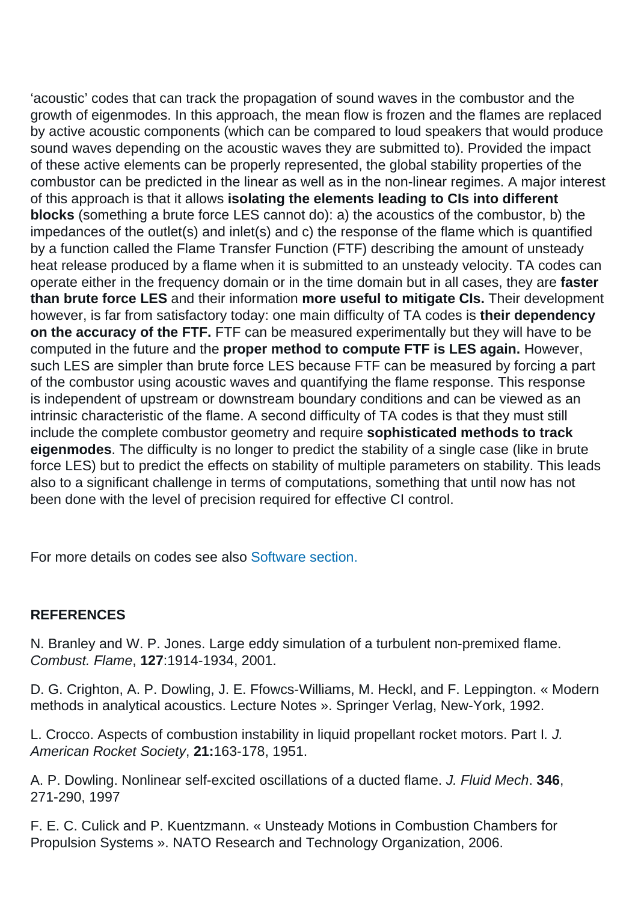'acoustic' codes that can track the propagation of sound waves in the combustor and the growth of eigenmodes. In this approach, the mean flow is frozen and the flames are replaced by active acoustic components (which can be compared to loud speakers that would produce sound waves depending on the acoustic waves they are submitted to). Provided the impact of these active elements can be properly represented, the global stability properties of the combustor can be predicted in the linear as well as in the non-linear regimes. A major interest of this approach is that it allows **isolating the elements leading to CIs into different blocks** (something a brute force LES cannot do): a) the acoustics of the combustor, b) the impedances of the outlet(s) and inlet(s) and c) the response of the flame which is quantified by a function called the Flame Transfer Function (FTF) describing the amount of unsteady heat release produced by a flame when it is submitted to an unsteady velocity. TA codes can operate either in the frequency domain or in the time domain but in all cases, they are **faster than brute force LES** and their information **more useful to mitigate CIs.** Their development however, is far from satisfactory today: one main difficulty of TA codes is **their dependency on the accuracy of the FTF.** FTF can be measured experimentally but they will have to be computed in the future and the **proper method to compute FTF is LES again.** However, such LES are simpler than brute force LES because FTF can be measured by forcing a part of the combustor using acoustic waves and quantifying the flame response. This response is independent of upstream or downstream boundary conditions and can be viewed as an intrinsic characteristic of the flame. A second difficulty of TA codes is that they must still include the complete combustor geometry and require **sophisticated methods to track eigenmodes**. The difficulty is no longer to predict the stability of a single case (like in brute force LES) but to predict the effects on stability of multiple parameters on stability. This leads also to a significant challenge in terms of computations, something that until now has not been done with the level of precision required for effective CI control.

For more details on codes see also [Software section.](https://intecocis.inp-toulouse.fr/en/software.html)

## **REFERENCES**

N. Branley and W. P. Jones. Large eddy simulation of a turbulent non-premixed flame. Combust. Flame, **127**:1914-1934, 2001.

D. G. Crighton, A. P. Dowling, J. E. Ffowcs-Williams, M. Heckl, and F. Leppington. « Modern methods in analytical acoustics. Lecture Notes ». Springer Verlag, New-York, 1992.

L. Crocco. Aspects of combustion instability in liquid propellant rocket motors. Part I. J. American Rocket Society, **21:**163-178, 1951.

A. P. Dowling. Nonlinear self-excited oscillations of a ducted flame. J. Fluid Mech. **346**, 271-290, 1997

F. E. C. Culick and P. Kuentzmann. « Unsteady Motions in Combustion Chambers for Propulsion Systems ». NATO Research and Technology Organization, 2006.